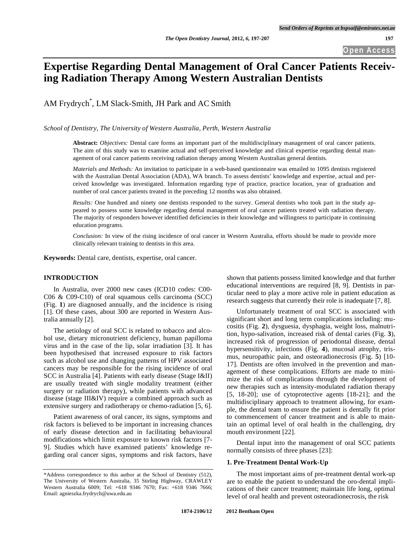# **Expertise Regarding Dental Management of Oral Cancer Patients Receiving Radiation Therapy Among Western Australian Dentists**

AM Frydrych\* , LM Slack-Smith, JH Park and AC Smith

*School of Dentistry, The University of Western Australia, Perth, Western Australia*

**Abstract:** *Objectives:* Dental care forms an important part of the multidisciplinary management of oral cancer patients. The aim of this study was to examine actual and self-perceived knowledge and clinical expertise regarding dental management of oral cancer patients receiving radiation therapy among Western Australian general dentists.

*Materials and Methods:* An invitation to participate in a web-based questionnaire was emailed to 1095 dentists registered with the Australian Dental Association (ADA), WA branch. To assess dentists' knowledge and expertise, actual and perceived knowledge was investigated. Information regarding type of practice, practice location, year of graduation and number of oral cancer patients treated in the preceding 12 months was also obtained.

*Results:* One hundred and ninety one dentists responded to the survey. General dentists who took part in the study appeared to possess some knowledge regarding dental management of oral cancer patients treated with radiation therapy. The majority of responders however identified deficiencies in their knowledge and willingness to participate in continuing education programs.

*Conclusion:* In view of the rising incidence of oral cancer in Western Australia, efforts should be made to provide more clinically relevant training to dentists in this area.

**Keywords:** Dental care, dentists, expertise, oral cancer.

# **INTRODUCTION**

In Australia, over 2000 new cases (ICD10 codes: C00- C06 & C09-C10) of oral squamous cells carcinoma (SCC) (Fig. **1**) are diagnosed annually, and the incidence is rising [1]. Of these cases, about 300 are reported in Western Australia annually [2].

The aetiology of oral SCC is related to tobacco and alcohol use, dietary micronutrient deficiency, human papilloma virus and in the case of the lip, solar irradiation [3]. It has been hypothesised that increased exposure to risk factors such as alcohol use and changing patterns of HPV associated cancers may be responsible for the rising incidence of oral SCC in Australia [4]. Patients with early disease (Stage I&II) are usually treated with single modality treatment (either surgery or radiation therapy), while patients with advanced disease (stage III&IV) require a combined approach such as extensive surgery and radiotherapy or chemo-radiation [5, 6].

Patient awareness of oral cancer, its signs, symptoms and risk factors is believed to be important in increasing chances of early disease detection and in facilitating behavioural modifications which limit exposure to known risk factors [7- 9]. Studies which have examined patients' knowledge regarding oral cancer signs, symptoms and risk factors, have

shown that patients possess limited knowledge and that further educational interventions are required [8, 9]. Dentists in particular need to play a more active role in patient education as research suggests that currently their role is inadequate [7, 8].

Unfortunately treatment of oral SCC is associated with significant short and long term complications including: mucositis (Fig. **2**), dysguesia, dysphagia, weight loss, malnutrition, hypo-salivation, increased risk of dental caries (Fig. **3**), increased risk of progression of periodontal disease, dental hypersensitivity, infections (Fig. **4**), mucosal atrophy, trismus, neuropathic pain, and osteoradionecrosis (Fig. **5**) [10- 17]. Dentists are often involved in the prevention and management of these complications. Efforts are made to minimize the risk of complications through the development of new therapies such as intensity-modulated radiation therapy [5, 18-20]; use of cytoprotective agents [18-21]; and the multidisciplinary approach to treatment allowing, for example, the dental team to ensure the patient is dentally fit prior to commencement of cancer treatment and is able to maintain an optimal level of oral health in the challenging, dry mouth environment [22].

Dental input into the management of oral SCC patients normally consists of three phases [23]:

### **1. Pre-Treatment Dental Work-Up**

The most important aims of pre-treatment dental work-up are to enable the patient to understand the oro-dental implications of their cancer treatment; maintain life long, optimal level of oral health and prevent osteoradionecrosis, the risk

<sup>\*</sup>Address correspondence to this author at the School of Dentistry (512), The University of Western Australia, 35 Stirling Highway, CRAWLEY Western Australia 6009; Tel: +618 9346 7670; Fax: +618 9346 7666; Email: agnieszka.frydrych@uwa.edu.au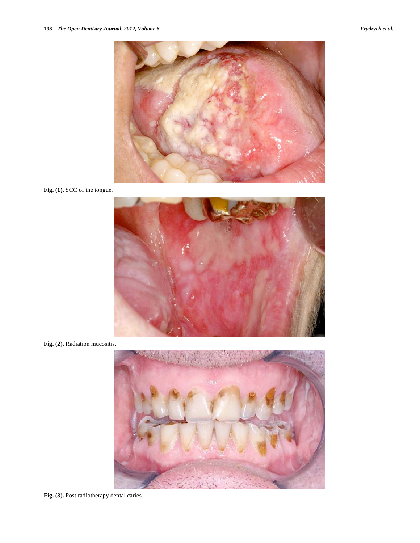

**Fig. (1).** SCC of the tongue.



**Fig. (2).** Radiation mucositis.



**Fig. (3).** Post radiotherapy dental caries.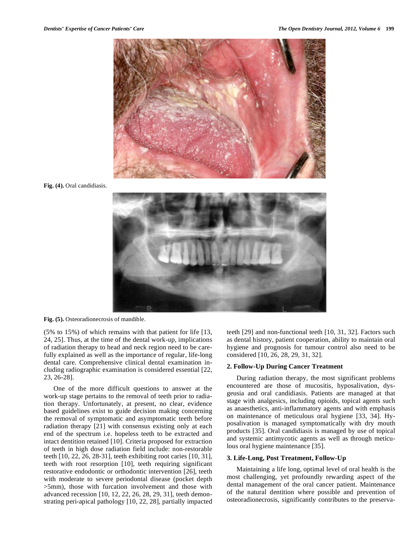

**Fig. (4).** Oral candidiasis.



**Fig. (5).** Osteoradionecrosis of mandible.

(5% to 15%) of which remains with that patient for life [13, 24, 25]. Thus, at the time of the dental work-up, implications of radiation therapy to head and neck region need to be carefully explained as well as the importance of regular, life-long dental care. Comprehensive clinical dental examination including radiographic examination is considered essential [22, 23, 26-28].

One of the more difficult questions to answer at the work-up stage pertains to the removal of teeth prior to radiation therapy. Unfortunately, at present, no clear, evidence based guidelines exist to guide decision making concerning the removal of symptomatic and asymptomatic teeth before radiation therapy [21] with consensus existing only at each end of the spectrum i.e. hopeless teeth to be extracted and intact dentition retained [10]. Criteria proposed for extraction of teeth in high dose radiation field include: non-restorable teeth [10, 22, 26, 28-31], teeth exhibiting root caries [10, 31], teeth with root resorption [10], teeth requiring significant restorative endodontic or orthodontic intervention [26], teeth with moderate to severe periodontal disease (pocket depth >5mm), those with furcation involvement and those with advanced recession [10, 12, 22, 26, 28, 29, 31], teeth demonstrating peri-apical pathology [10, 22, 28], partially impacted

teeth [29] and non-functional teeth [10, 31, 32]. Factors such as dental history, patient cooperation, ability to maintain oral hygiene and prognosis for tumour control also need to be considered [10, 26, 28, 29, 31, 32].

# **2. Follow-Up During Cancer Treatment**

During radiation therapy, the most significant problems encountered are those of mucositis, hyposalivation, dysgeusia and oral candidiasis. Patients are managed at that stage with analgesics, including opioids, topical agents such as anaesthetics, anti-inflammatory agents and with emphasis on maintenance of meticulous oral hygiene [33, 34]. Hyposalivation is managed symptomatically with dry mouth products [35]. Oral candidiasis is managed by use of topical and systemic antimycotic agents as well as through meticulous oral hygiene maintenance [35].

# **3. Life-Long, Post Treatment, Follow-Up**

Maintaining a life long, optimal level of oral health is the most challenging, yet profoundly rewarding aspect of the dental management of the oral cancer patient. Maintenance of the natural dentition where possible and prevention of osteoradionecrosis, significantly contributes to the preserva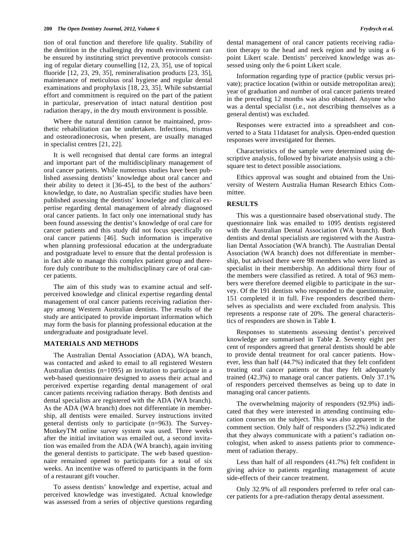tion of oral function and therefore life quality. Stability of the dentition in the challenging dry mouth environment can be ensured by instituting strict preventive protocols consisting of regular dietary counselling [12, 23, 35], use of topical fluoride [12, 23, 29, 35], remineralisation products [23, 35], maintenance of meticulous oral hygiene and regular dental examinations and prophylaxis [18, 23, 35]. While substantial effort and commitment is required on the part of the patient in particular, preservation of intact natural dentition post radiation therapy, in the dry mouth environment is possible.

Where the natural dentition cannot be maintained, prosthetic rehabilitation can be undertaken. Infections, trismus and osteoradionecrosis, when present, are usually managed in specialist centres [21, 22].

It is well recognised that dental care forms an integral and important part of the multidisciplinary management of oral cancer patients. While numerous studies have been published assessing dentists' knowledge about oral cancer and their ability to detect it [36-45], to the best of the authors' knowledge, to date, no Australian specific studies have been published assessing the dentists' knowledge and clinical expertise regarding dental management of already diagnosed oral cancer patients. In fact only one international study has been found assessing the dentist's knowledge of oral care for cancer patients and this study did not focus specifically on oral cancer patients [46]. Such information is imperative when planning professional education at the undergraduate and postgraduate level to ensure that the dental profession is in fact able to manage this complex patient group and therefore duly contribute to the multidisciplinary care of oral cancer patients.

The aim of this study was to examine actual and selfperceived knowledge and clinical expertise regarding dental management of oral cancer patients receiving radiation therapy among Western Australian dentists. The results of the study are anticipated to provide important information which may form the basis for planning professional education at the undergraduate and postgraduate level.

### **MATERIALS AND METHODS**

The Australian Dental Association (ADA), WA branch, was contacted and asked to email to all registered Western Australian dentists (n=1095) an invitation to participate in a web-based questionnaire designed to assess their actual and perceived expertise regarding dental management of oral cancer patients receiving radiation therapy. Both dentists and dental specialists are registered with the ADA (WA branch). As the ADA (WA branch) does not differentiate in membership, all dentists were emailed. Survey instructions invited general dentists only to participate (n=963). The Survey-MonkeyTM online survey system was used. Three weeks after the initial invitation was emailed out, a second invitation was emailed from the ADA (WA branch), again inviting the general dentists to participate. The web based questionnaire remained opened to participants for a total of six weeks. An incentive was offered to participants in the form of a restaurant gift voucher.

To assess dentists' knowledge and expertise, actual and perceived knowledge was investigated. Actual knowledge was assessed from a series of objective questions regarding dental management of oral cancer patients receiving radiation therapy to the head and neck region and by using a 6 point Likert scale. Dentists' perceived knowledge was assessed using only the 6 point Likert scale.

Information regarding type of practice (public versus private); practice location (within or outside metropolitan area); year of graduation and number of oral cancer patients treated in the preceding 12 months was also obtained. Anyone who was a dental specialist (i.e., not describing themselves as a general dentist) was excluded.

Responses were extracted into a spreadsheet and converted to a Stata 11dataset for analysis. Open-ended question responses were investigated for themes.

Characteristics of the sample were determined using descriptive analysis, followed by bivariate analysis using a chisquare test to detect possible associations.

Ethics approval was sought and obtained from the University of Western Australia Human Research Ethics Committee.

# **RESULTS**

This was a questionnaire based observational study. The questionnaire link was emailed to 1095 dentists registered with the Australian Dental Association (WA branch). Both dentists and dental specialists are registered with the Australian Dental Association (WA branch). The Australian Dental Association (WA branch) does not differentiate in membership, but advised there were 98 members who were listed as specialist in their membership. An additional thirty four of the members were classified as retired. A total of 963 members were therefore deemed eligible to participate in the survey. Of the 191 dentists who responded to the questionnaire, 151 completed it in full. Five responders described themselves as specialists and were excluded from analysis. This represents a response rate of 20%. The general characteristics of responders are shown in Table **1**.

Responses to statements assessing dentist's perceived knowledge are summarised in Table **2**. Seventy eight per cent of responders agreed that general dentists should be able to provide dental treatment for oral cancer patients. However, less than half (44.7%) indicated that they felt confident treating oral cancer patients or that they felt adequately trained (42.3%) to manage oral cancer patients. Only 37.1% of responders perceived themselves as being up to date in managing oral cancer patients.

The overwhelming majority of responders (92.9%) indicated that they were interested in attending continuing education courses on the subject. This was also apparent in the comment section. Only half of responders (52.2%) indicated that they always communicate with a patient's radiation oncologist, when asked to assess patients prior to commencement of radiation therapy.

Less than half of all responders (41.7%) felt confident in giving advice to patients regarding management of acute side-effects of their cancer treatment.

Only 32.9% of all responders preferred to refer oral cancer patients for a pre-radiation therapy dental assessment.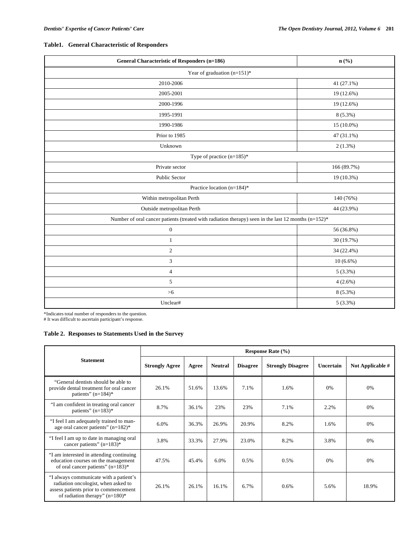# **Table1. General Characteristic of Responders**

| <b>General Characteristic of Responders (n=186)</b>                                                    | $n$ (%)     |  |  |  |  |
|--------------------------------------------------------------------------------------------------------|-------------|--|--|--|--|
| Year of graduation $(n=151)^*$                                                                         |             |  |  |  |  |
| 2010-2006                                                                                              | 41 (27.1%)  |  |  |  |  |
| 2005-2001                                                                                              | 19 (12.6%)  |  |  |  |  |
| 2000-1996                                                                                              | 19 (12.6%)  |  |  |  |  |
| 1995-1991                                                                                              | $8(5.3\%)$  |  |  |  |  |
| 1990-1986                                                                                              | 15 (10.0%)  |  |  |  |  |
| Prior to 1985                                                                                          | 47 (31.1%)  |  |  |  |  |
| Unknown                                                                                                | 2(1.3%)     |  |  |  |  |
| Type of practice $(n=185)^*$                                                                           |             |  |  |  |  |
| Private sector                                                                                         | 166 (89.7%) |  |  |  |  |
| Public Sector                                                                                          | 19 (10.3%)  |  |  |  |  |
| Practice location (n=184)*                                                                             |             |  |  |  |  |
| Within metropolitan Perth                                                                              | 140 (76%)   |  |  |  |  |
| Outside metropolitan Perth                                                                             | 44 (23.9%)  |  |  |  |  |
| Number of oral cancer patients (treated with radiation therapy) seen in the last 12 months $(n=152)^*$ |             |  |  |  |  |
| $\boldsymbol{0}$                                                                                       | 56 (36.8%)  |  |  |  |  |
| $\mathbf{1}$                                                                                           | 30 (19.7%)  |  |  |  |  |
| 2                                                                                                      | 34 (22.4%)  |  |  |  |  |
| 3                                                                                                      | $10(6.6\%)$ |  |  |  |  |
| $\overline{4}$                                                                                         | $5(3.3\%)$  |  |  |  |  |
| 5                                                                                                      | $4(2.6\%)$  |  |  |  |  |
| $>6$                                                                                                   | $8(5.3\%)$  |  |  |  |  |
| Unclear#                                                                                               | 5(3.3%)     |  |  |  |  |

\*Indicates total number of responders to the question. # It was difficult to ascertain participant's response.

# **Table 2. Responses to Statements Used in the Survey**

|                                                                                                                                                             | <b>Response Rate (%)</b> |       |                |                 |                          |           |                  |  |  |  |  |
|-------------------------------------------------------------------------------------------------------------------------------------------------------------|--------------------------|-------|----------------|-----------------|--------------------------|-----------|------------------|--|--|--|--|
| <b>Statement</b>                                                                                                                                            | <b>Strongly Agree</b>    | Agree | <b>Neutral</b> | <b>Disagree</b> | <b>Strongly Disagree</b> | Uncertain | Not Applicable # |  |  |  |  |
| "General dentists should be able to<br>provide dental treatment for oral cancer<br>patients" $(n=184)$ *                                                    | 26.1%                    | 51.6% | 13.6%          | 7.1%            | 1.6%                     | 0%        | 0%               |  |  |  |  |
| "I am confident in treating oral cancer<br>patients" $(n=183)$ *                                                                                            | 8.7%                     | 36.1% | 23%            | 23%             | 7.1%                     | 2.2%      | 0%               |  |  |  |  |
| "I feel I am adequately trained to man-<br>age oral cancer patients" (n=182)*                                                                               | 6.0%                     | 36.3% | 26.9%          | 20.9%           | 8.2%                     | 1.6%      | 0%               |  |  |  |  |
| "I feel I am up to date in managing oral<br>cancer patients" $(n=183)$ *                                                                                    | 3.8%                     | 33.3% | 27.9%          | 23.0%           | 8.2%                     | 3.8%      | 0%               |  |  |  |  |
| "I am interested in attending continuing<br>education courses on the management<br>of oral cancer patients" $(n=183)$ *                                     | 47.5%                    | 45.4% | 6.0%           | 0.5%            | 0.5%                     | 0%        | $0\%$            |  |  |  |  |
| "I always communicate with a patient's<br>radiation oncologist, when asked to<br>assess patients prior to commencement<br>of radiation therapy" $(n=180)$ * | 26.1%                    | 26.1% | 16.1%          | 6.7%            | $0.6\%$                  | 5.6%      | 18.9%            |  |  |  |  |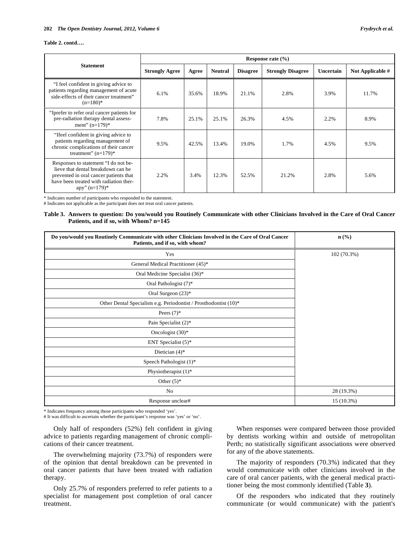#### **202** *The Open Dentistry Journal, 2012, Volume 6 Frydrych et al.*

#### **Table 2. contd….**

|                                                                                                                                                                                            | Response rate $(\% )$ |       |                |                 |                          |           |                    |  |  |  |  |
|--------------------------------------------------------------------------------------------------------------------------------------------------------------------------------------------|-----------------------|-------|----------------|-----------------|--------------------------|-----------|--------------------|--|--|--|--|
| <b>Statement</b>                                                                                                                                                                           | <b>Strongly Agree</b> | Agree | <b>Neutral</b> | <b>Disagree</b> | <b>Strongly Disagree</b> | Uncertain | Not Applicable $#$ |  |  |  |  |
| "I feel confident in giving advice to<br>patients regarding management of acute<br>side-effects of their cancer treatment"<br>$(n=180)*$                                                   | 6.1%                  | 35.6% | 18.9%          | 21.1%           | 2.8%                     | 3.9%      | 11.7%              |  |  |  |  |
| "Iprefer to refer oral cancer patients for<br>pre-radiation therapy dental assess-<br>ment" $(n=179)$ *                                                                                    | 7.8%                  | 25.1% | 25.1%          | 26.3%           | 4.5%                     | 2.2%      | 8.9%               |  |  |  |  |
| "Ifeel confident in giving advice to<br>patients regarding management of<br>chronic complications of their cancer<br>treatment" $(n=179)$ *                                                | 9.5%                  | 42.5% | 13.4%          | 19.0%           | 1.7%                     | 4.5%      | 9.5%               |  |  |  |  |
| Responses to statement "I do not be-<br>lieve that dental breakdown can be<br>prevented in oral cancer patients that<br>have been treated with radiation ther-<br>$\text{apy" } (n=179)^*$ | 2.2%                  | 3.4%  | 12.3%          | 52.5%           | 21.2%                    | 2.8%      | 5.6%               |  |  |  |  |

\* Indicates number of participants who responded to the statement.

# Indicates not applicable as the participant does not treat oral cancer patients.

# **Table 3. Answers to question: Do you/would you Routinely Communicate with other Clinicians Involved in the Care of Oral Cancer Patients, and if so, with Whom? n=145**

| Do you/would you Routinely Communicate with other Clinicians Involved in the Care of Oral Cancer<br>Patients, and if so, with whom? | $n\left(\frac{0}{0}\right)$ |
|-------------------------------------------------------------------------------------------------------------------------------------|-----------------------------|
| Yes                                                                                                                                 | 102 (70.3%)                 |
| General Medical Practitioner (45)*                                                                                                  |                             |
| Oral Medicine Specialist (36)*                                                                                                      |                             |
| Oral Pathologist (7)*                                                                                                               |                             |
| Oral Surgeon (23)*                                                                                                                  |                             |
| Other Dental Specialists e.g. Periodontist / Prosthodontist (10)*                                                                   |                             |
| Peers $(7)^*$                                                                                                                       |                             |
| Pain Specialist (2)*                                                                                                                |                             |
| Oncologist $(30)$ *                                                                                                                 |                             |
| ENT Specialist $(5)^*$                                                                                                              |                             |
| Dietician $(4)$ <sup>*</sup>                                                                                                        |                             |
| Speech Pathologist (1)*                                                                                                             |                             |
| Physiotherapist (1)*                                                                                                                |                             |
| Other $(5)^*$                                                                                                                       |                             |
| No                                                                                                                                  | 28 (19.3%)                  |
| Response unclear#                                                                                                                   | 15 (10.3%)                  |

\* Indicates frequency among those participants who responded 'yes'. # It was difficult to ascertain whether the participant's response was 'yes' or 'no'.

Only half of responders (52%) felt confident in giving advice to patients regarding management of chronic complications of their cancer treatment.

The overwhelming majority (73.7%) of responders were of the opinion that dental breakdown can be prevented in oral cancer patients that have been treated with radiation therapy.

Only 25.7% of responders preferred to refer patients to a specialist for management post completion of oral cancer treatment.

When responses were compared between those provided by dentists working within and outside of metropolitan Perth; no statistically significant associations were observed for any of the above statements.

The majority of responders (70.3%) indicated that they would communicate with other clinicians involved in the care of oral cancer patients, with the general medical practitioner being the most commonly identified (Table **3**).

Of the responders who indicated that they routinely communicate (or would communicate) with the patient's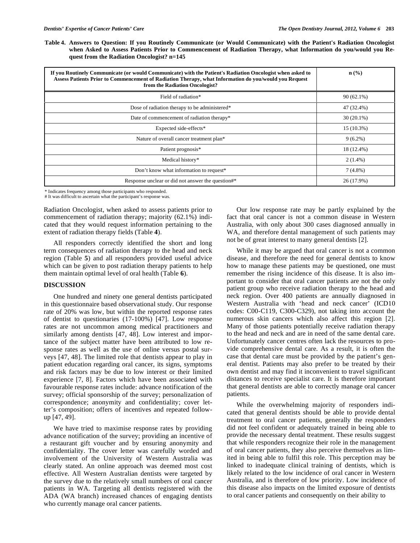**Table 4. Answers to Question: If you Routinely Communicate (or Would Communicate) with the Patient's Radiation Oncologist when Asked to Assess Patients Prior to Commencement of Radiation Therapy, what Information do you/would you Request from the Radiation Oncologist? n=145**

| If you Routinely Communicate (or would Communicate) with the Patient's Radiation Oncologist when asked to<br>Assess Patients Prior to Commencement of Radiation Therapy, what Information do you/would you Request<br>from the Radiation Oncologist? | $\mathbf{n}(\%)$ |
|------------------------------------------------------------------------------------------------------------------------------------------------------------------------------------------------------------------------------------------------------|------------------|
| Field of radiation*                                                                                                                                                                                                                                  | $90(62.1\%)$     |
| Dose of radiation therapy to be administered*                                                                                                                                                                                                        | 47 (32.4%)       |
| Date of commencement of radiation therapy*                                                                                                                                                                                                           | $30(20.1\%)$     |
| Expected side-effects*                                                                                                                                                                                                                               | 15 (10.3%)       |
| Nature of overall cancer treatment plan*                                                                                                                                                                                                             | $9(6.2\%)$       |
| Patient prognosis*                                                                                                                                                                                                                                   | 18 (12.4%)       |
| Medical history*                                                                                                                                                                                                                                     | $2(1.4\%)$       |
| Don't know what information to request*                                                                                                                                                                                                              | $7(4.8\%)$       |
| Response unclear or did not answer the question#*                                                                                                                                                                                                    | 26 (17.9%)       |

\* Indicates frequency among those participants who responded.

# It was difficult to ascertain what the participant's response was.

Radiation Oncologist, when asked to assess patients prior to commencement of radiation therapy; majority (62.1%) indicated that they would request information pertaining to the extent of radiation therapy fields (Table **4**).

All responders correctly identified the short and long term consequences of radiation therapy to the head and neck region (Table **5**) and all responders provided useful advice which can be given to post radiation therapy patients to help them maintain optimal level of oral health (Table **6**).

# **DISCUSSION**

One hundred and ninety one general dentists participated in this questionnaire based observational study. Our response rate of 20% was low, but within the reported response rates of dentist to questionaries (17-100%) [47]. Low response rates are not uncommon among medical practitioners and similarly among dentists [47, 48]. Low interest and importance of the subject matter have been attributed to low response rates as well as the use of online versus postal surveys [47, 48]. The limited role that dentists appear to play in patient education regarding oral cancer, its signs, symptoms and risk factors may be due to low interest or their limited experience [7, 8]. Factors which have been associated with favourable response rates include: advance notification of the survey; official sponsorship of the survey; personalization of correspondence; anonymity and confidentiality; cover letter's composition; offers of incentives and repeated followup [47, 49].

We have tried to maximise response rates by providing advance notification of the survey; providing an incentive of a restaurant gift voucher and by ensuring anonymity and confidentiality. The cover letter was carefully worded and involvement of the University of Western Australia was clearly stated. An online approach was deemed most cost effective. All Western Australian dentists were targeted by the survey due to the relatively small numbers of oral cancer patients in WA. Targeting all dentists registered with the ADA (WA branch) increased chances of engaging dentists who currently manage oral cancer patients.

Our low response rate may be partly explained by the fact that oral cancer is not a common disease in Western Australia, with only about 300 cases diagnosed annually in WA, and therefore dental management of such patients may not be of great interest to many general dentists [2].

While it may be argued that oral cancer is not a common disease, and therefore the need for general dentists to know how to manage these patients may be questioned, one must remember the rising incidence of this disease. It is also important to consider that oral cancer patients are not the only patient group who receive radiation therapy to the head and neck region. Over 400 patients are annually diagnosed in Western Australia with 'head and neck cancer' (ICD10 codes: C00-C119, C300-C329), not taking into account the numerous skin cancers which also affect this region [2]. Many of those patients potentially receive radiation therapy to the head and neck and are in need of the same dental care. Unfortunately cancer centres often lack the resources to provide comprehensive dental care. As a result, it is often the case that dental care must be provided by the patient's general dentist. Patients may also prefer to be treated by their own dentist and may find it inconvenient to travel significant distances to receive specialist care. It is therefore important that general dentists are able to correctly manage oral cancer patients.

While the overwhelming majority of responders indicated that general dentists should be able to provide dental treatment to oral cancer patients, generally the responders did not feel confident or adequately trained in being able to provide the necessary dental treatment. These results suggest that while responders recognize their role in the management of oral cancer patients, they also perceive themselves as limited in being able to fulfil this role. This perception may be linked to inadequate clinical training of dentists, which is likely related to the low incidence of oral cancer in Western Australia, and is therefore of low priority. Low incidence of this disease also impacts on the limited exposure of dentists to oral cancer patients and consequently on their ability to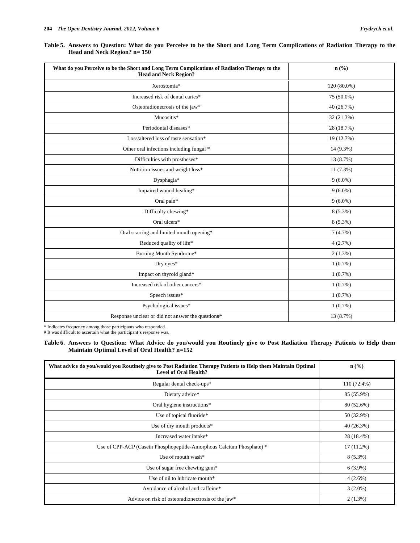| Table 5. Answers to Question: What do you Perceive to be the Short and Long Term Complications of Radiation Therapy to the |  |  |  |  |  |  |  |  |
|----------------------------------------------------------------------------------------------------------------------------|--|--|--|--|--|--|--|--|
| Head and Neck Region? $n = 150$                                                                                            |  |  |  |  |  |  |  |  |

| What do you Perceive to be the Short and Long Term Complications of Radiation Therapy to the<br><b>Head and Neck Region?</b> | $n\left(\frac{0}{0}\right)$ |
|------------------------------------------------------------------------------------------------------------------------------|-----------------------------|
| Xerostomia*                                                                                                                  | 120 (80.0%)                 |
| Increased risk of dental caries*                                                                                             | 75 (50.0%)                  |
| Osteoradionecrosis of the jaw*                                                                                               | 40 (26.7%)                  |
| Mucositis*                                                                                                                   | 32 (21.3%)                  |
| Periodontal diseases*                                                                                                        | 28 (18.7%)                  |
| Loss/altered loss of taste sensation*                                                                                        | 19 (12.7%)                  |
| Other oral infections including fungal *                                                                                     | 14 (9.3%)                   |
| Difficulties with prostheses*                                                                                                | 13 (8.7%)                   |
| Nutrition issues and weight loss*                                                                                            | $11(7.3\%)$                 |
| Dysphagia*                                                                                                                   | $9(6.0\%)$                  |
| Impaired wound healing*                                                                                                      | $9(6.0\%)$                  |
| Oral pain*                                                                                                                   | $9(6.0\%)$                  |
| Difficulty chewing*                                                                                                          | $8(5.3\%)$                  |
| Oral ulcers*                                                                                                                 | $8(5.3\%)$                  |
| Oral scarring and limited mouth opening*                                                                                     | 7(4.7%)                     |
| Reduced quality of life*                                                                                                     | 4(2.7%)                     |
| Burning Mouth Syndrome*                                                                                                      | $2(1.3\%)$                  |
| Dry eyes*                                                                                                                    | $1(0.7\%)$                  |
| Impact on thyroid gland*                                                                                                     | 1(0.7%)                     |
| Increased risk of other cancers*                                                                                             | $1(0.7\%)$                  |
| Speech issues*                                                                                                               | $1(0.7\%)$                  |
| Psychological issues*                                                                                                        | $1(0.7\%)$                  |
| Response unclear or did not answer the question#*                                                                            | 13 (8.7%)                   |

\* Indicates frequency among those participants who responded.

# It was difficult to ascertain what the participant's response was.

**Table 6. Answers to Question: What Advice do you/would you Routinely give to Post Radiation Therapy Patients to Help them Maintain Optimal Level of Oral Health? n=152**

| What advice do you/would you Routinely give to Post Radiation Therapy Patients to Help them Maintain Optimal<br><b>Level of Oral Health?</b> | $n\left(\frac{9}{6}\right)$ |
|----------------------------------------------------------------------------------------------------------------------------------------------|-----------------------------|
| Regular dental check-ups*                                                                                                                    | 110 (72.4%)                 |
| Dietary advice*                                                                                                                              | 85 (55.9%)                  |
| Oral hygiene instructions*                                                                                                                   | 80 (52.6%)                  |
| Use of topical fluoride*                                                                                                                     | 50 (32.9%)                  |
| Use of dry mouth products*                                                                                                                   | 40 (26.3%)                  |
| Increased water intake*                                                                                                                      | 28 (18.4%)                  |
| Use of CPP-ACP (Casein Phosphopeptide-Amorphous Calcium Phosphate) *                                                                         | 17 (11.2%)                  |
| Use of mouth wash*                                                                                                                           | $8(5.3\%)$                  |
| Use of sugar free chewing gum*                                                                                                               | $6(3.9\%)$                  |
| Use of oil to lubricate mouth*                                                                                                               | $4(2.6\%)$                  |
| Avoidance of alcohol and caffeine*                                                                                                           | $3(2.0\%)$                  |
| Advice on risk of osteoradionectrosis of the jaw*                                                                                            | $2(1.3\%)$                  |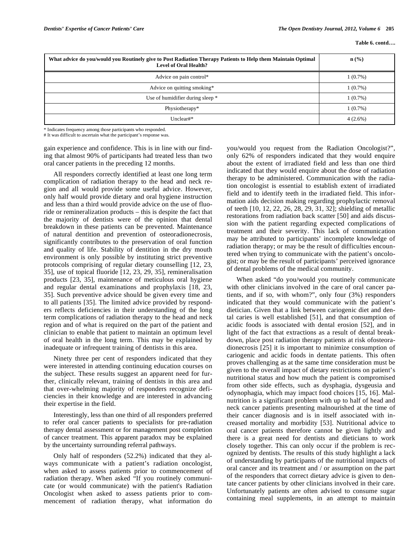| What advice do you/would you Routinely give to Post Radiation Therapy Patients to Help them Maintain Optimal<br>Level of Oral Health? | $\mathbf{n}(\%)$ |
|---------------------------------------------------------------------------------------------------------------------------------------|------------------|
| Advice on pain control*                                                                                                               | $1(0.7\%)$       |
| Advice on quitting smoking*                                                                                                           | $1(0.7\%)$       |
| Use of humidifier during sleep *                                                                                                      | $1(0.7\%)$       |
| Physiotherapy*                                                                                                                        | $1(0.7\%)$       |
| $Unclear#*$                                                                                                                           | $4(2.6\%)$       |

\* Indicates frequency among those participants who responded.

# It was difficult to ascertain what the participant's response was.

gain experience and confidence. This is in line with our finding that almost 90% of participants had treated less than two oral cancer patients in the preceding 12 months.

All responders correctly identified at least one long term complication of radiation therapy to the head and neck region and all would provide some useful advice. However, only half would provide dietary and oral hygiene instruction and less than a third would provide advice on the use of fluoride or remineralization products – this is despite the fact that the majority of dentists were of the opinion that dental breakdown in these patients can be prevented. Maintenance of natural dentition and prevention of osteoradionecrosis, significantly contributes to the preservation of oral function and quality of life. Stability of dentition in the dry mouth environment is only possible by instituting strict preventive protocols comprising of regular dietary counselling [12, 23, 35], use of topical fluoride [12, 23, 29, 35], remineralisation products [23, 35], maintenance of meticulous oral hygiene and regular dental examinations and prophylaxis [18, 23, 35]. Such preventive advice should be given every time and to all patients [35]. The limited advice provided by responders reflects deficiencies in their understanding of the long term complications of radiation therapy to the head and neck region and of what is required on the part of the patient and clinician to enable that patient to maintain an optimum level of oral health in the long term. This may be explained by inadequate or infrequent training of dentists in this area.

Ninety three per cent of responders indicated that they were interested in attending continuing education courses on the subject. These results suggest an apparent need for further, clinically relevant, training of dentists in this area and that over-whelming majority of responders recognize deficiencies in their knowledge and are interested in advancing their expertise in the field.

Interestingly, less than one third of all responders preferred to refer oral cancer patients to specialists for pre-radiation therapy dental assessment or for management post completion of cancer treatment. This apparent paradox may be explained by the uncertainty surrounding referral pathways.

Only half of responders (52.2%) indicated that they always communicate with a patient's radiation oncologist, when asked to assess patients prior to commencement of radiation therapy. When asked "If you routinely communicate (or would communicate) with the patient's Radiation Oncologist when asked to assess patients prior to commencement of radiation therapy, what information do you/would you request from the Radiation Oncologist?", only 62% of responders indicated that they would enquire about the extent of irradiated field and less than one third indicated that they would enquire about the dose of radiation therapy to be administered. Communication with the radiation oncologist is essential to establish extent of irradiated field and to identify teeth in the irradiated field. This information aids decision making regarding prophylactic removal of teeth [10, 12, 22, 26, 28, 29, 31, 32]; shielding of metallic restorations from radiation back scatter [50] and aids discussion with the patient regarding expected complications of treatment and their severity. This lack of communication may be attributed to participants' incomplete knowledge of radiation therapy; or may be the result of difficulties encountered when trying to communicate with the patient's oncologist; or may be the result of participants' perceived ignorance of dental problems of the medical community.

When asked "do you/would you routinely communicate with other clinicians involved in the care of oral cancer patients, and if so, with whom?", only four (3%) responders indicated that they would communicate with the patient's dietician. Given that a link between cariogenic diet and dental caries is well established [51], and that consumption of acidic foods is associated with dental erosion [52], and in light of the fact that extractions as a result of dental breakdown, place post radiation therapy patients at risk ofosteoradionecrosis [25] it is important to minimize consumption of cariogenic and acidic foods in dentate patients. This often proves challenging as at the same time consideration must be given to the overall impact of dietary restrictions on patient's nutritional status and how much the patient is compromised from other side effects, such as dysphagia, dysgeusia and odynophagia, which may impact food choices [15, 16]. Malnutrition is a significant problem with up to half of head and neck cancer patients presenting malnourished at the time of their cancer diagnosis and is in itself associated with increased mortality and morbidity [53]. Nutritional advice to oral cancer patients therefore cannot be given lightly and there is a great need for dentists and dieticians to work closely together. This can only occur if the problem is recognized by dentists. The results of this study highlight a lack of understanding by participants of the nutritional impacts of oral cancer and its treatment and / or assumption on the part of the responders that correct dietary advice is given to dentate cancer patients by other clinicians involved in their care. Unfortunately patients are often advised to consume sugar containing meal supplements, in an attempt to maintain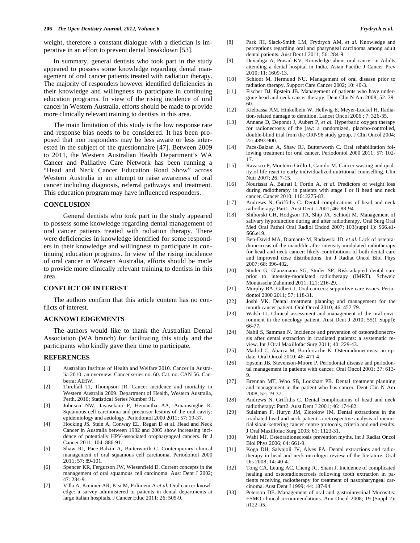weight, therefore a constant dialogue with a dietician is imperative in an effort to prevent dental breakdown [53].

In summary, general dentists who took part in the study appeared to possess some knowledge regarding dental management of oral cancer patients treated with radiation therapy. The majority of responders however identified deficiencies in their knowledge and willingness to participate in continuing education programs. In view of the rising incidence of oral cancer in Western Australia, efforts should be made to provide more clinically relevant training to dentists in this area.

The main limitation of this study is the low response rate and response bias needs to be considered. It has been proposed that non responders may be less aware or less interested in the subject of the questionnaire [47]. Between 2009 to 2011, the Western Australian Health Department's WA Cancer and Palliative Care Network has been running a "Head and Neck Cancer Education Road Show" across Western Australia in an attempt to raise awareness of oral cancer including diagnosis, referral pathways and treatment. This education program may have influenced responders.

# **CONCLUSION**

General dentists who took part in the study appeared to possess some knowledge regarding dental management of oral cancer patients treated with radiation therapy. There were deficiencies in knowledge identified for some responders in their knowledge and willingness to participate in continuing education programs. In view of the rising incidence of oral cancer in Western Australia, efforts should be made to provide more clinically relevant training to dentists in this area.

# **CONFLICT OF INTEREST**

The authors confirm that this article content has no conflicts of interest.

# **ACKNOWLEDGEMENTS**

The authors would like to thank the Australian Dental Association (WA branch) for facilitating this study and the participants who kindly gave their time to participate.

#### **REFERENCES**

- [1] Australian Institute of Health and Welfare 2010. Cancer in Australia 2010: an overview. Cancer series no. 60. Cat. no. CAN 56. Canberra: AIHW.
- [2] Threlfall TJ, Thompson JR. Cancer incidence and mortality in Western Australia 2009. Department of Health, Western Australia, Perth. 2010; Statistical Series Number 91.
- [3] Johnson NW, Jayasekara P, Hemantha AA, Amarasinghe K. Squamous cell carcinoma and precursor lesions of the oral cavity: epidemiology and aetiology. Periodontol 2000 2011; 57: 19-37.
- [4] Hocking JS, Stein A, Conway EL, Regan D et al. Head and Neck Cancer in Australia between 1982 and 2005 show increasing incidence of potentially HPV-associated oropharyngeal cancers. Br J Cancer 2011; 104: 886-91.
- [5] Shaw RJ, Pace-Balzin A, Butterworth C. Contemporary clinical management of oral squamous cell carcinoma. Periodontol 2000 2011; 57: 89-101.
- [6] Spencer KR, Fergurson JW, Wiesenfield D. Current concepts in the management of oral squamous cell carcinoma. Aust Dent J 2002; 47: 284-9.
- [7] Villa A, Kreimer AR, Pasi M, Polimeni A *et al.* Oral cancer knowledge: a survey administered to patients in dental departments at large italian hospitals. J Cancer Educ 2011; 26: 505-9.
- [8] Park JH, Slack-Smith LM, Frydrych AM, *et al.* Knowledge and perceptions regarding oral and pharyngeal carcinoma among adult dental patients. Aust Dent J 2011; 56: 284-9.
- [9] Devadiga A, Prasad KV. Knowledge about oral cancer in Adults attending a dental hospital in India. Asian Pacific J Cancer Prev 2010; 11: 1609-13.
- [10] Schiodt M, Hermund NU. Management of oral disease prior to radiation therapy. Support Care Cancer 2002; 10: 40-3.
- [11] Fischer DJ, Epstein JB. Management of patients who have undergone head and neck cancer therapy. Dent Clin N Am 2008; 52: 39- 60.
- [12] Kielbassa AM, Hinkelbein W, Hellwig E, Meyer-Luckel H. Radiation-related damage to dentition. Lancet Oncol 2006 ; 7: 326-35.
- [13] Annane D, Depondt J, Aubert P, *et al.* Hyperbaric oxygen therapy for radionecrosis of the jaw: a randomized, placebo-controlled, double-blind trial from the ORN96 study group. J Clin Oncol 2004; 22: 4893-900.
- [14] Pace-Balzan A, Shaw RJ, Butterworth C. Oral rehabilitation following treatment for oral cancer. Periodontol 2000 2011; 57: 102- 17.
- [15] Ravasco P, Monteiro Grillo I, Camilo M. Cancer wasting and quality of life react to early individualized nutritional counselling. Clin Nutr 2007; 26: 7-15.
- [16] Nourissat A, Bairati I, Fortin A, *et al.* Predictors of weight loss during radiotherapy in patients with stage I or II head and neck cancer. Cancer 2010; 116: 2275-83.
- [17] Andrews N, Griffiths C. Dental complications of head and neck radiotherapy: Part1. Aust Dent J 2001; 46: 88-94.
- [18] Shiborski CH, Hodgson TA, Ship JA, Schiodt M. Management of salivary hypofunction during and after radiotherapy. Oral Surg Oral Med Oral Pathol Oral Radiol Endod 2007; 103(suppl 1): S66.e1- S66.e19.
- [19] Ben-David MA, Diamante M, Radawski JD, *et al.* Lack of osteoradionecrosis of the mandible after intensity-modulated radiotherapy for head and neck cancer: likely contributions of both dental care and improved dose distributions. Int J Radiat Oncol Biol Phys 2007; 68: 396-402.
- [20] Studer G, Glanzmann SG, Studer SP. Risk-adapted dental care prior to intensity-modulated radiotherapy (IMRT). Schweiz Monatsschr Zahnmed 2011; 121: 216-29.
- [21] Murphy BA, Gilbert J. Oral cancers: supportive care issues. Periodontol 2000 2011; 57: 118-31.
- [22] Joshi VK. Dental treatment planning and management for the mouth cancer patient. Oral Oncol 2010; 46: 457-79.
- [23] Walsh LJ. Clinical assessment and management of the oral environment in the oncology patient. Aust Dent J 2010; 55(1 Suppl): 66-77.
- [24] Nabil S, Samman N. Incidence and prevention of osteoradionecrosis after dental extraction in irradiated patients: a systematic review. Int J Oral Maxillofac Surg 2011; 40: 229-43.
- [25] Madrid C, Abarca M, Bouferrache K. Osteoradionecrosis: an update. Oral Oncol 2010; 46: 471-4.
- [26] Epstein JB, Stevenson-Moore P. Periodontal disease and periodontal management in patients with cancer. Oral Oncol 2001; 37: 613- 9.
- [27] Brennan MT, Woo SB, Lockhart PB. Dental treatment planning and management in the patient who has cancer. Dent Clin N Am 2008; 52: 19-37.
- [28] Andrews N, Griffiths C. Dental complications of head and neck radiotherapy: Part2. Aust Dent J 2001; 46: 174-82.
- [29] Sulaiman F, Huryn JM, Zlotolow IM. Dental extractions in the irradiated head and neck patient: a retrospective analysis of memorial sloan-kettering cancer centre protocols, criteria and end results. J Oral Maxillofac Surg 2003; 61: 1123-31.
- [30] Wahl MJ. Osteoradionecrosis prevention myths. Int J Radiat Oncol Biol Phys 2006; 64: 661-9.
- [31] Koga DH, Salvajoli JV, Alves FA. Dental extractions and radiotherapy in head and neck oncology: review of the literature. Oral Dis 2008; 14: 40-4.
- [32] Tong CA, Leung AC, Cheng JC, Sham J. Incidence of complicated healing and osteoradionecrosis following tooth extraction in patients receiving radiotherapy for treatment of nasopharyngeal carcinoma. Aust Dent J 1999; 44: 187-94.
- [33] Peterson DE. Management of oral and gastrointestinal Mucositis: ESMO clinical recommendations. Ann Oncol 2008; 19 (Suppl 2): ii122-ii5.